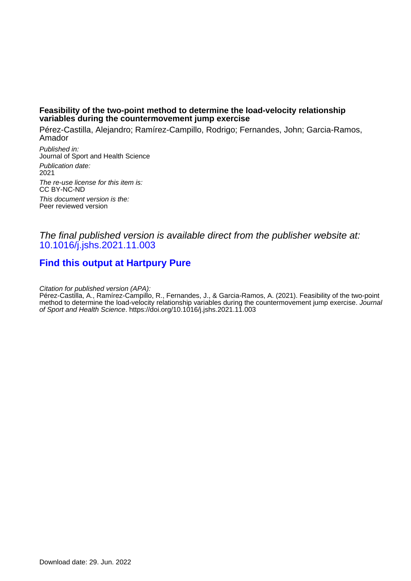### **Feasibility of the two-point method to determine the load-velocity relationship variables during the countermovement jump exercise**

Pérez-Castilla, Alejandro; Ramírez-Campillo, Rodrigo; Fernandes, John; Garcia-Ramos, Amador

Published in: Journal of Sport and Health Science Publication date: 2021 The re-use license for this item is: CC BY-NC-ND This document version is the: Peer reviewed version

## The final published version is available direct from the publisher website at: [10.1016/j.jshs.2021.11.003](https://doi.org/10.1016/j.jshs.2021.11.003)

# **[Find this output at Hartpury Pure](https://hartpury.pure.elsevier.com/en/publications/067e6eb3-4c1b-4c5f-a5ff-4817af938b6c)**

Citation for published version (APA):

Pérez-Castilla, A., Ramírez-Campillo, R., Fernandes, J., & Garcia-Ramos, A. (2021). Feasibility of the two-point method to determine the load-velocity relationship variables during the countermovement jump exercise. Journal of Sport and Health Science.<https://doi.org/10.1016/j.jshs.2021.11.003>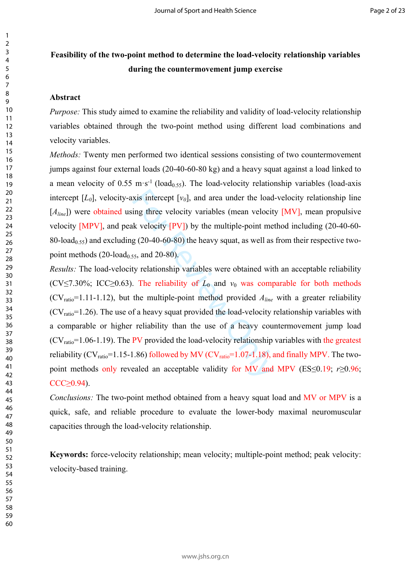# **Feasibility of the two-point method to determine the load-velocity relationship variables during the countermovement jump exercise**

#### **Abstract**

*Purpose:* This study aimed to examine the reliability and validity of load-velocity relationship variables obtained through the two-point method using different load combinations and velocity variables.

*Methods:* Twenty men performed two identical sessions consisting of two countermovement jumps against four external loads (20-40-60-80 kg) and a heavy squat against a load linked to a mean velocity of 0.55 m·s<sup>-1</sup> (load<sub>0.55</sub>). The load-velocity relationship variables (load-axis intercept  $[L_0]$ , velocity-axis intercept  $[v_0]$ , and area under the load-velocity relationship line [*A*<sub>line</sub>]) were obtained using three velocity variables (mean velocity [MV], mean propulsive velocity [MPV], and peak velocity [PV]) by the multiple-point method including (20-40-60- 80-load<sub>0.55</sub>) and excluding (20-40-60-80) the heavy squat, as well as from their respective twopoint methods  $(20$ -load<sub>0.55</sub>, and  $20$ -80).

xis intercept [ $v_0$ ], and area under the load<br>ing three velocity variables (mean velocit<br>k velocity [ $PV$ ]) by the multiple-point me<br>g (20-40-60-80) the heavy squat, as well as<br>is, and 20-80).<br>We relationship variables we *Results:* The load-velocity relationship variables were obtained with an acceptable reliability (CV≤7.30%; ICC≥0.63). The reliability of  $L_0$  and  $v_0$  was comparable for both methods  $(CV_{ratio} = 1.11-1.12)$ , but the multiple-point method provided  $A_{line}$  with a greater reliability  $(CV<sub>ratio</sub>=1.26)$ . The use of a heavy squat provided the load-velocity relationship variables with a comparable or higher reliability than the use of a heavy countermovement jump load  $(CV<sub>ratio</sub>=1.06-1.19)$ . The PV provided the load-velocity relationship variables with the greatest reliability ( $CV_{ratio}$ =1.15-1.86) followed by MV ( $CV_{ratio}$ =1.07-1.18), and finally MPV. The twopoint methods only revealed an acceptable validity for MV and MPV ( $ES \leq 0.19$ ; *r* $\geq 0.96$ ;  $CCC \geq 0.94$ ).

*Conclusions:* The two-point method obtained from a heavy squat load and MV or MPV is a quick, safe, and reliable procedure to evaluate the lower-body maximal neuromuscular capacities through the load-velocity relationship.

**Keywords:** force-velocity relationship; mean velocity; multiple-point method; peak velocity: velocity-based training.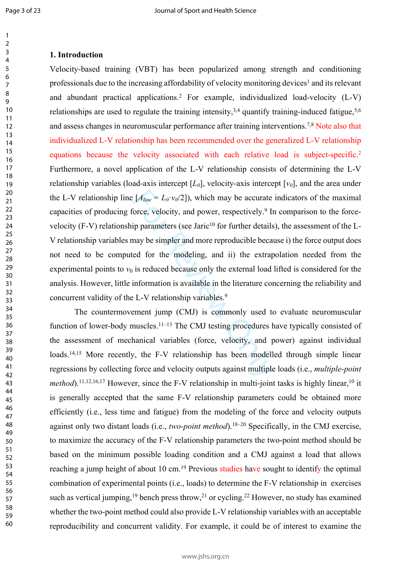$\mathbf{1}$ 

60

#### **1. Introduction**

 $[ A_{line} = L_0 \cdot v_0/2 ]$ ), which may be accurate<br>
Sorce, velocity, and power, respectively.<sup>9</sup> In<br>
ip parameters (see Jaric<sup>10</sup> for further details<br>
may be simpler and more reproducible becaused for the modeling, and ii) the e Velocity-based training (VBT) has been popularized among strength and conditioning professionals due to the increasing affordability of velocity monitoring devices<sup>1</sup> and its relevant and abundant practical applications. 2 For example, individualized load-velocity (L-V) relationships are used to regulate the training intensity,  $3,4$  quantify training-induced fatigue,  $5,6$ and assess changes in neuromuscular performance after training interventions.7,8 Note also that individualized L-V relationship has been recommended over the generalized L-V relationship equations because the velocity associated with each relative load is subject-specific. 2 Furthermore, a novel application of the L-V relationship consists of determining the L-V relationship variables (load-axis intercept  $[L_0]$ , velocity-axis intercept  $[v_0]$ , and the area under the L-V relationship line  $[A_{line} = L_0 \cdot v_0/2]$ , which may be accurate indicators of the maximal capacities of producing force, velocity, and power, respectively. 9 In comparison to the forcevelocity  $(F-V)$  relationship parameters (see Jaric<sup>10</sup> for further details), the assessment of the L-V relationship variables may be simpler and more reproducible because i) the force output does not need to be computed for the modeling, and ii) the extrapolation needed from the experimental points to  $v_0$  is reduced because only the external load lifted is considered for the analysis. However, little information is available in the literature concerning the reliability and concurrent validity of the L-V relationship variables. 9

The countermovement jump (CMJ) is commonly used to evaluate neuromuscular function of lower-body muscles.<sup>11–13</sup> The CMJ testing procedures have typically consisted of the assessment of mechanical variables (force, velocity, and power) against individual loads.<sup>14,15</sup> More recently, the F-V relationship has been modelled through simple linear regressions by collecting force and velocity outputs against multiple loads (i.e., *multiple-point method*).<sup>11,12,16,17</sup> However, since the F-V relationship in multi-joint tasks is highly linear,<sup>10</sup> it is generally accepted that the same F-V relationship parameters could be obtained more efficiently (i.e., less time and fatigue) from the modeling of the force and velocity outputs against only two distant loads (i.e., *two-point method*).18–20 Specifically, in the CMJ exercise, to maximize the accuracy of the F-V relationship parameters the two-point method should be based on the minimum possible loading condition and a CMJ against a load that allows reaching a jump height of about 10 cm.<sup>19</sup> Previous studies have sought to identify the optimal combination of experimental points (i.e., loads) to determine the F-V relationship in exercises such as vertical jumping,<sup>19</sup> bench press throw,<sup>21</sup> or cycling.<sup>22</sup> However, no study has examined whether the two-point method could also provide L-V relationship variables with an acceptable reproducibility and concurrent validity. For example, it could be of interest to examine the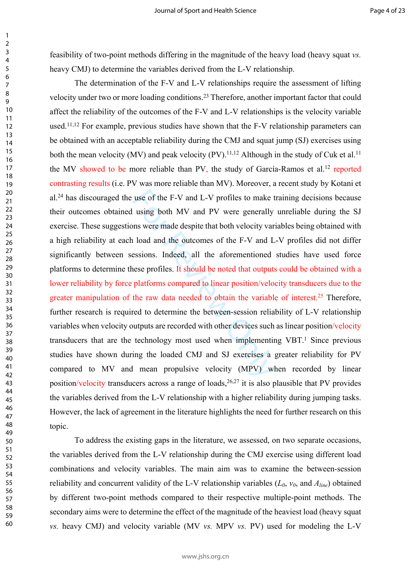feasibility of two-point methods differing in the magnitude of the heavy load (heavy squat *vs.* heavy CMJ) to determine the variables derived from the L-V relationship.

use of the F-V and L-V profiles to make tusing both MV and PV were generally<br>ns were made despite that both velocity var<br>a load and the outcomes of the F-V and L<br>essions. Indeed, all the aforementioned<br>nese profiles. It s The determination of the F-V and L-V relationships require the assessment of lifting velocity under two or more loading conditions.<sup>23</sup> Therefore, another important factor that could affect the reliability of the outcomes of the F-V and L-V relationships is the velocity variable used.11,12 For example, previous studies have shown that the F-V relationship parameters can be obtained with an acceptable reliability during the CMJ and squat jump (SJ) exercises using both the mean velocity (MV) and peak velocity (PV).<sup>11,12</sup> Although in the study of Cuk et al.<sup>11</sup> the MV showed to be more reliable than PV, the study of García-Ramos et al.<sup>12</sup> reported contrasting results (i.e. PV was more reliable than MV). Moreover, a recent study by Kotani et al.<sup>24</sup> has discouraged the use of the F-V and L-V profiles to make training decisions because their outcomes obtained using both MV and PV were generally unreliable during the SJ exercise. These suggestions were made despite that both velocity variables being obtained with a high reliability at each load and the outcomes of the F-V and L-V profiles did not differ significantly between sessions. Indeed, all the aforementioned studies have used force platforms to determine these profiles. It should be noted that outputs could be obtained with a lower reliability by force platforms compared to linear position/velocity transducers due to the greater manipulation of the raw data needed to obtain the variable of interest.<sup>25</sup> Therefore, further research is required to determine the between-session reliability of L-V relationship variables when velocity outputs are recorded with other devices such as linear position/velocity transducers that are the technology most used when implementing VBT.<sup>1</sup> Since previous studies have shown during the loaded CMJ and SJ exercises a greater reliability for PV compared to MV and mean propulsive velocity (MPV) when recorded by linear position/velocity transducers across a range of loads,  $26,27$  it is also plausible that PV provides the variables derived from the L-V relationship with a higher reliability during jumping tasks. However, the lack of agreement in the literature highlights the need for further research on this topic.

To address the existing gaps in the literature, we assessed, on two separate occasions, the variables derived from the L-V relationship during the CMJ exercise using different load combinations and velocity variables. The main aim was to examine the between-session reliability and concurrent validity of the L-V relationship variables  $(L_0, v_0, \text{ and } A_{line})$  obtained by different two-point methods compared to their respective multiple-point methods. The secondary aims were to determine the effect of the magnitude of the heaviest load (heavy squat *vs.* heavy CMJ) and velocity variable (MV *vs.* MPV *vs.* PV) used for modeling the L-V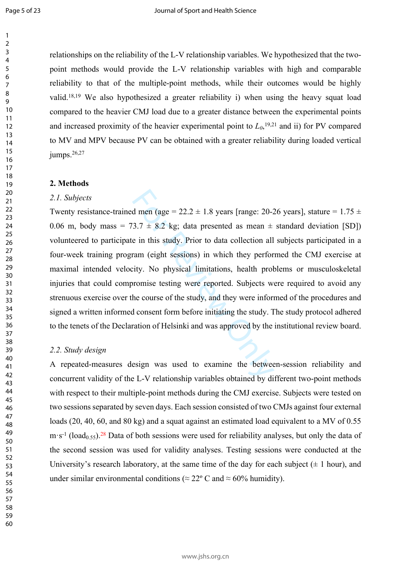Page 5 of 23

 $\mathbf{1}$ 

relationships on the reliability of the L-V relationship variables. We hypothesized that the twopoint methods would provide the L-V relationship variables with high and comparable reliability to that of the multiple-point methods, while their outcomes would be highly valid.18,19 We also hypothesized a greater reliability i) when using the heavy squat load compared to the heavier CMJ load due to a greater distance between the experimental points and increased proximity of the heavier experimental point to  $L_0$ ,<sup>19,21</sup> and ii) for PV compared to MV and MPV because PV can be obtained with a greater reliability during loaded vertical jumps.<sup>26,27</sup>

#### **2. Methods**

#### *2.1. Subjects*

d men (age =  $22.2 \pm 1.8$  years [range:  $20-3.7 \pm 8.2$  kg; data presented as mean  $\pm$ <br>e in this study. Prior to data collection all<br>ram (eight sessions) in which they perfor<br>city. No physical limitations, health prob<br>rom Twenty resistance-trained men (age =  $22.2 \pm 1.8$  years [range: 20-26 years], stature =  $1.75 \pm 1.8$ 0.06 m, body mass = 73.7  $\pm$  8.2 kg; data presented as mean  $\pm$  standard deviation [SD]) volunteered to participate in this study. Prior to data collection all subjects participated in a four-week training program (eight sessions) in which they performed the CMJ exercise at maximal intended velocity. No physical limitations, health problems or musculoskeletal injuries that could compromise testing were reported. Subjects were required to avoid any strenuous exercise over the course of the study, and they were informed of the procedures and signed a written informed consent form before initiating the study. The study protocol adhered to the tenets of the Declaration of Helsinki and was approved by the institutional review board.

#### *2.2. Study design*

A repeated-measures design was used to examine the between-session reliability and concurrent validity of the L-V relationship variables obtained by different two-point methods with respect to their multiple-point methods during the CMJ exercise. Subjects were tested on two sessions separated by seven days. Each session consisted of two CMJs against four external loads (20, 40, 60, and 80 kg) and a squat against an estimated load equivalent to a MV of 0.55  $m·s<sup>-1</sup>$  (load<sub>0.55</sub>).<sup>28</sup> Data of both sessions were used for reliability analyses, but only the data of the second session was used for validity analyses. Testing sessions were conducted at the University's research laboratory, at the same time of the day for each subject  $(\pm 1 \text{ hour})$ , and under similar environmental conditions ( $\approx 22^{\circ}$  C and  $\approx 60\%$  humidity).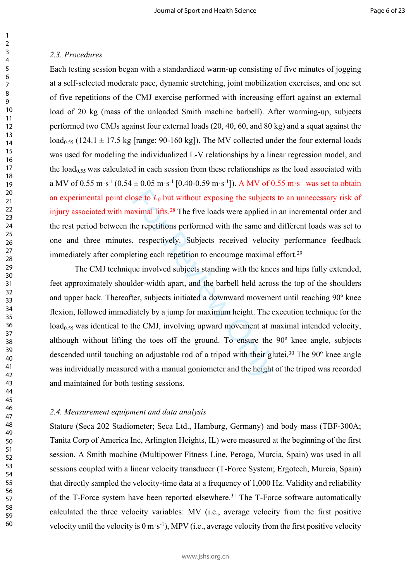#### *2.3. Procedures*

Each testing session began with a standardized warm-up consisting of five minutes of jogging at a self-selected moderate pace, dynamic stretching, joint mobilization exercises, and one set of five repetitions of the CMJ exercise performed with increasing effort against an external load of 20 kg (mass of the unloaded Smith machine barbell). After warming-up, subjects performed two CMJs against four external loads (20, 40, 60, and 80 kg) and a squat against the  $\text{load}_{0.55}$  (124.1  $\pm$  17.5 kg [range: 90-160 kg]). The MV collected under the four external loads was used for modeling the individualized L-V relationships by a linear regression model, and the  $load<sub>0.55</sub>$  was calculated in each session from these relationships as the load associated with a MV of 0.55 m·s<sup>-1</sup> (0.54  $\pm$  0.05 m·s<sup>-1</sup> [0.40-0.59 m·s<sup>-1</sup>]). A MV of 0.55 m·s<sup>-1</sup> was set to obtain an experimental point close to *L0* but without exposing the subjects to an unnecessary risk of injury associated with maximal lifts.<sup>28</sup> The five loads were applied in an incremental order and the rest period between the repetitions performed with the same and different loads was set to one and three minutes, respectively. Subjects received velocity performance feedback immediately after completing each repetition to encourage maximal effort.<sup>29</sup>

bose to  $L_0$  but without exposing the subjects eximal lifts.<sup>28</sup> The five loads were applied in the repetitions performed with the same and, respectively. Subjects received velociteting each repetition to encourage maxim The CMJ technique involved subjects standing with the knees and hips fully extended, feet approximately shoulder-width apart, and the barbell held across the top of the shoulders and upper back. Thereafter, subjects initiated a downward movement until reaching 90º knee flexion, followed immediately by a jump for maximum height. The execution technique for the  $\text{load}_{0.55}$  was identical to the CMJ, involving upward movement at maximal intended velocity, although without lifting the toes off the ground. To ensure the 90º knee angle, subjects descended until touching an adjustable rod of a tripod with their glutei.<sup>30</sup> The 90<sup>°</sup> knee angle was individually measured with a manual goniometer and the height of the tripod was recorded and maintained for both testing sessions.

#### *2.4. Measurement equipment and data analysis*

Stature (Seca 202 Stadiometer; Seca Ltd., Hamburg, Germany) and body mass (TBF-300A; Tanita Corp of America Inc, Arlington Heights, IL) were measured at the beginning of the first session. A Smith machine (Multipower Fitness Line, Peroga, Murcia, Spain) was used in all sessions coupled with a linear velocity transducer (T-Force System; Ergotech, Murcia, Spain) that directly sampled the velocity-time data at a frequency of 1,000 Hz. Validity and reliability of the T-Force system have been reported elsewhere.<sup>31</sup> The T-Force software automatically calculated the three velocity variables: MV (i.e., average velocity from the first positive velocity until the velocity is  $0 \text{ m} \cdot \text{s}^{-1}$ ), MPV (i.e., average velocity from the first positive velocity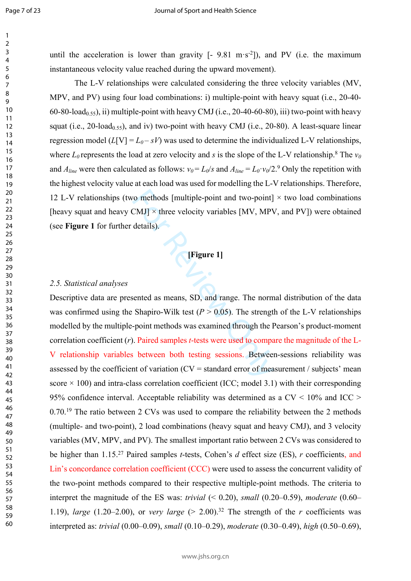$\mathbf{1}$  $\overline{2}$  $\overline{3}$  $\overline{4}$ 5 6  $\overline{7}$ 8 9

until the acceleration is lower than gravity  $[-9.81 \text{ m} \cdot \text{s}^{-2}]$ ), and PV (i.e. the maximum instantaneous velocity value reached during the upward movement).

The L-V relationships were calculated considering the three velocity variables (MV, MPV, and PV) using four load combinations: i) multiple-point with heavy squat (i.e., 20-40- 60-80-load<sub>0.55</sub>), ii) multiple-point with heavy CMJ (i.e., 20-40-60-80), iii) two-point with heavy squat (i.e., 20-load<sub>0.55</sub>), and iv) two-point with heavy CMJ (i.e., 20-80). A least-square linear regression model  $(L[V] = L_0 - sV)$  was used to determine the individualized L-V relationships, where  $L_0$  represents the load at zero velocity and s is the slope of the L-V relationship.<sup>8</sup> The  $v_0$ and  $A_{line}$  were then calculated as follows:  $v_0 = L_0/s$  and  $A_{line} = L_0 \cdot v_0/2$ .<sup>9</sup> Only the repetition with the highest velocity value at each load was used for modelling the L-V relationships. Therefore, 12 L-V relationships (two methods [multiple-point and two-point]  $\times$  two load combinations [heavy squat and heavy CMJ]  $\times$  three velocity variables [MV, MPV, and PV]) were obtained (see **Figure 1** for further details).

# **[Figure 1]**

#### *2.5. Statistical analyses*

For Management and two-point]<br>
CMJ] × three velocity variables [MV, MPV<br>
details).<br>
Figure 1]<br>
Figure 1]<br>
Figure 1]<br>
Figure 1]<br>
Figure 1<br>
Figure 1<br>
Figure 1<br>
Figure 1<br>
Figure 1<br>
Figure 1<br>
Figure 1<br>
Shapiro-Wilk test ( $P >$ Descriptive data are presented as means, SD, and range. The normal distribution of the data was confirmed using the Shapiro-Wilk test  $(P > 0.05)$ . The strength of the L-V relationships modelled by the multiple-point methods was examined through the Pearson's product-moment correlation coefficient ( *r*). Paired samples *t*-tests were used to compare the magnitude of the L-V relationship variables between both testing sessions. Between-sessions reliability was assessed by the coefficient of variation  $(CV = \text{standard error of measurement} / \text{ subjects}$  mean score  $\times$  100) and intra-class correlation coefficient (ICC; model 3.1) with their corresponding 95% confidence interval. Acceptable reliability was determined as a  $CV < 10\%$  and  $ICC >$ 0.70.<sup>19</sup> The ratio between 2 CVs was used to compare the reliability between the 2 methods (multiple- and two-point), 2 load combinations (heavy squat and heavy CMJ), and 3 velocity variables (MV, MPV, and PV). The smallest important ratio between 2 CVs was considered to be higher than 1.15.<sup>27</sup> Paired samples *t*-tests, Cohen's *d* effect size (ES), *r* coefficients, and Lin's concordance correlation coefficient (CCC) were used to assess the concurrent validity of the two-point methods compared to their respective multiple-point methods. The criteria to interpret the magnitude of the ES was: *trivial* (< 0.20), *small* (0.20–0.59), *moderate* (0.60– 1.19), *large* (1.20–2.00), or *very large* ( $> 2.00$ ).<sup>32</sup> The strength of the *r* coefficients was interpreted as: *trivial* (0.00–0.09), *small* (0.10–0.29), *moderate* (0.30–0.49), *high* (0.50–0.69),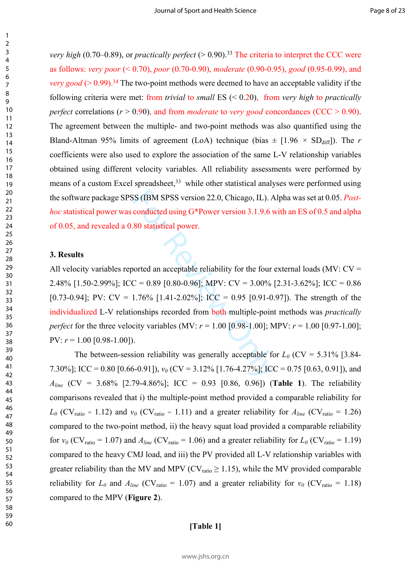*very high* (0.70–0.89), or *practically perfect* ( $> 0.90$ ).<sup>33</sup> The criteria to interpret the CCC were as follows: *very poor* (< 0.70), *poor* (0.70-0.90), *moderate* (0.90-0.95), *good* (0.95-0.99), and *very good* ( $> 0.99$ ).<sup>34</sup> The two-point methods were deemed to have an acceptable validity if the following criteria were met: from *trivial* to *small* ES (< 0.20), from *very high* to *practically perfect* correlations (*r* > 0.90), and from *moderate* to *very good* concordances (CCC > 0.90). The agreement between the multiple- and two-point methods was also quantified using the Bland-Altman 95% limits of agreement (LoA) technique (bias  $\pm$  [1.96  $\times$  SD<sub>diff</sub>]). The *r* coefficients were also used to explore the association of the same L-V relationship variables obtained using different velocity variables. All reliability assessments were performed by means of a custom Excel spreadsheet, while other statistical analyses were performed using the software package SPSS (IBM SPSS version 22.0, Chicago, IL). Alpha was set at 0.05. *Posthoc* statistical power was conducted using G\*Power version 3.1.9.6 with an ES of 0.5 and alpha of 0.05, and revealed a 0.80 statistical power.

#### **3. Results**

SS (IBM SPSS version 22.0, Chicago, IL). A<br>
conducted using G\*Power version 3.1.9.6 v<br>
80 statistical power.<br>
horted an acceptable reliability for the four<br>
C = 0.89 [0.80-0.96]; MPV: CV = 3.00%<br>
1.76% [1.41-2.02%]; ICC = All velocity variables reported an acceptable reliability for the four external loads (MV:  $CV =$ 2.48% [1.50-2.99%]; ICC = 0.89 [0.80-0.96]; MPV: CV = 3.00% [2.31-3.62%]; ICC = 0.86 [0.73-0.94]; PV:  $CV = 1.76\%$  [1.41-2.02%]; ICC = 0.95 [0.91-0.97]). The strength of the individualized L-V relationships recorded from both multiple-point methods was *practically perfect* for the three velocity variables (MV:  $r = 1.00$  [0.98-1.00]; MPV:  $r = 1.00$  [0.97-1.00]; PV:  $r = 1.00$  [0.98-1.00]).

The between-session reliability was generally acceptable for  $L_0$  (CV = 5.31% [3.84-7.30%]; ICC = 0.80 [0.66-0.91]),  $v_0$  (CV = 3.12% [1.76-4.27%]; ICC = 0.75 [0.63, 0.91]), and *Aline* (CV = 3.68% [2.79-4.86%]; ICC = 0.93 [0.86, 0.96]) (**Table 1**). The reliability comparisons revealed that i) the multiple-point method provided a comparable reliability for  $L_0$  (CV<sub>ratio</sub> = 1.12) and  $v_0$  (CV<sub>ratio</sub> = 1.11) and a greater reliability for  $A_{line}$  (CV<sub>ratio</sub> = 1.26) compared to the two-point method, ii) the heavy squat load provided a comparable reliability for  $v_0$  (CV<sub>ratio</sub> = 1.07) and  $A_{line}$  (CV<sub>ratio</sub> = 1.06) and a greater reliability for  $L_0$  (CV<sub>ratio</sub> = 1.19) compared to the heavy CMJ load, and iii) the PV provided all L-V relationship variables with greater reliability than the MV and MPV ( $CV<sub>ratio</sub> \ge 1.15$ ), while the MV provided comparable reliability for  $L_0$  and  $A_{line}$  (CV<sub>ratio</sub> = 1.07) and a greater reliability for  $v_0$  (CV<sub>ratio</sub> = 1.18) compared to the MPV (**Figure 2**).

#### **[Table 1]**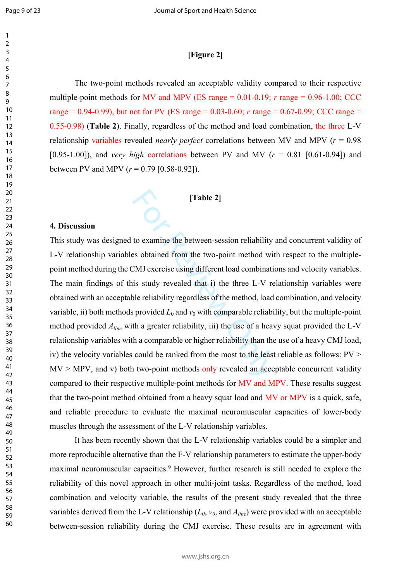### **[Figure 2]**

The two-point methods revealed an acceptable validity compared to their respective multiple-point methods for MV and MPV (ES range  $= 0.01$ -0.19;  $r$  range  $= 0.96$ -1.00; CCC range = 0.94-0.99), but not for PV (ES range = 0.03-0.60; *r* range = 0.67-0.99; CCC range = 0.55-0.98) (**Table 2**). Finally, regardless of the method and load combination, the three L-V relationship variables revealed *nearly perfect* correlations between MV and MPV ( *r* = 0.98 [0.95-1.00]), and *very high* correlations between PV and MV ( *r* = 0.81 [0.61-0.94]) and between PV and MPV  $(r = 0.79 \, [0.58 - 0.92])$ .

#### **[Table 2]**

#### **4. Discussion**

[Table 2]<br>to examine the between-session reliability<br>to examine the between-session reliability<br>EMJ exercise using different load combinati<br>is study revealed that i) the three L-V re<br>ble reliability regardless of the meth This study was designed to examine the between-session reliability and concurrent validity of L-V relationship variables obtained from the two-point method with respect to the multiplepoint method during the CMJ exercise using different load combinations and velocity variables. The main findings of this study revealed that i) the three L-V relationship variables were obtained with an acceptable reliability regardless of the method, load combination, and velocity variable, ii) both methods provided  $L_0$  and  $v_0$  with comparable reliability, but the multiple-point method provided *Aline* with a greater reliability, iii) the use of a heavy squat provided the L-V relationship variables with a comparable or higher reliability than the use of a heavy CMJ load, iv) the velocity variables could be ranked from the most to the least reliable as follows: PV >  $MV > MPV$ , and v) both two-point methods only revealed an acceptable concurrent validity compared to their respective multiple-point methods for MV and MPV. These results suggest that the two-point method obtained from a heavy squat load and MV or MPV is a quick, safe, and reliable procedure to evaluate the maximal neuromuscular capacities of lower-body muscles through the assessment of the L-V relationship variables.

It has been recently shown that the L-V relationship variables could be a simpler and more reproducible alternative than the F-V relationship parameters to estimate the upper-body maximal neuromuscular capacities.<sup>9</sup> However, further research is still needed to explore the reliability of this novel approach in other multi-joint tasks. Regardless of the method, load combination and velocity variable, the results of the present study revealed that the three variables derived from the L-V relationship  $(L_0, v_0, \text{ and } A_{line})$  were provided with an acceptable between-session reliability during the CMJ exercise. These results are in agreement with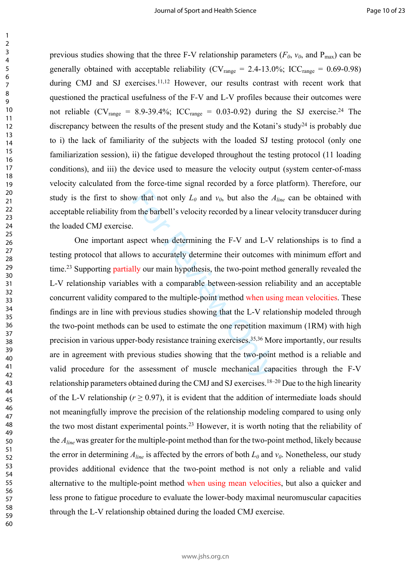previous studies showing that the three F-V relationship parameters ( $F_0$ ,  $v_0$ , and  $P_{\text{max}}$ ) can be generally obtained with acceptable reliability ( $CV<sub>range</sub> = 2.4-13.0\%$ ; ICC<sub>range</sub> = 0.69-0.98) during CMJ and SJ exercises.<sup>11,12</sup> However, our results contrast with recent work that questioned the practical usefulness of the F-V and L-V profiles because their outcomes were not reliable (CV<sub>range</sub> = 8.9-39.4%; ICC<sub>range</sub> = 0.03-0.92) during the SJ exercise.<sup>24</sup> The discrepancy between the results of the present study and the Kotani's study<sup>24</sup> is probably due to i) the lack of familiarity of the subjects with the loaded SJ testing protocol (only one familiarization session), ii) the fatigue developed throughout the testing protocol (11 loading conditions), and iii) the device used to measure the velocity output (system center-of-mass velocity calculated from the force-time signal recorded by a force platform). Therefore, our study is the first to show that not only  $L_0$  and  $v_0$ , but also the  $A_{line}$  can be obtained with acceptable reliability from the barbell's velocity recorded by a linear velocity transducer during the loaded CMJ exercise.

w that not only  $L_0$  and  $v_0$ , but also the  $\angle$ <br>
in the barbell's velocity recorded by a linear<br>
For Review and L-V<br>
we to accurately determine their outcomes<br>
Ily our main hypothesis, the two-point metl<br>
es with a com One important aspect when determining the F-V and L-V relationships is to find a testing protocol that allows to accurately determine their outcomes with minimum effort and time.<sup>23</sup> Supporting partially our main hypothesis, the two-point method generally revealed the L-V relationship variables with a comparable between-session reliability and an acceptable concurrent validity compared to the multiple-point method when using mean velocities. These findings are in line with previous studies showing that the L-V relationship modeled through the two-point methods can be used to estimate the one repetition maximum (1RM) with high precision in various upper-body resistance training exercises.35,36 More importantly, our results are in agreement with previous studies showing that the two-point method is a reliable and valid procedure for the assessment of muscle mechanical capacities through the F-V relationship parameters obtained during the CMJ and SJ exercises.18–20 Due to the high linearity of the L-V relationship ( $r \ge 0.97$ ), it is evident that the addition of intermediate loads should not meaningfully improve the precision of the relationship modeling compared to using only the two most distant experimental points.<sup>23</sup> However, it is worth noting that the reliability of the *Aline* was greater for the multiple-point method than for the two-point method, likely because the error in determining  $A_{line}$  is affected by the errors of both  $L_0$  and  $v_0$ . Nonetheless, our study provides additional evidence that the two-point method is not only a reliable and valid alternative to the multiple-point method when using mean velocities, but also a quicker and less prone to fatigue procedure to evaluate the lower-body maximal neuromuscular capacities through the L-V relationship obtained during the loaded CMJ exercise.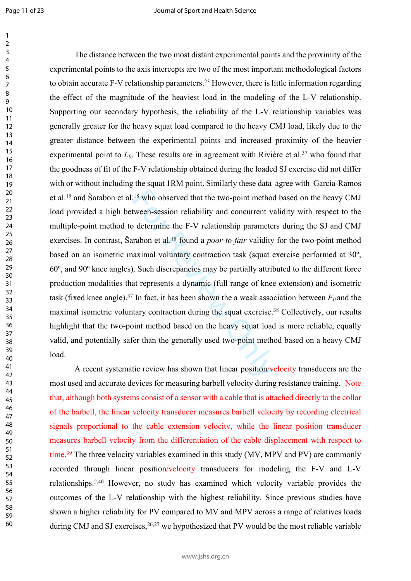$\mathbf{1}$ 

<sup>18</sup> who observed that the two-point method<br>tween-session reliability and concurrent v;<br>o determine the F-V relationship paramete<br>rabon et al.<sup>18</sup> found a *poor-to-fair* validity<br>aximal voluntary contraction task (squat The distance between the two most distant experimental points and the proximity of the experimental points to the axis intercepts are two of the most important methodological factors to obtain accurate F-V relationship parameters.<sup>23</sup> However, there is little information regarding the effect of the magnitude of the heaviest load in the modeling of the L-V relationship. Supporting our secondary hypothesis, the reliability of the L-V relationship variables was generally greater for the heavy squat load compared to the heavy CMJ load, likely due to the greater distance between the experimental points and increased proximity of the heavier experimental point to  $L_0$ . These results are in agreement with Rivière et al.<sup>37</sup> who found that the goodness of fit of the F-V relationship obtained during the loaded SJ exercise did not differ with or without including the squat 1RM point. Similarly these data agree with García-Ramos et al.<sup>19</sup> and Šarabon et al.<sup>18</sup> who observed that the two-point method based on the heavy CMJ load provided a high between-session reliability and concurrent validity with respect to the multiple-point method to determine the F-V relationship parameters during the SJ and CMJ exercises. In contrast, Šarabon et al.<sup>18</sup> found a *poor-to-fair* validity for the two-point method based on an isometric maximal voluntary contraction task (squat exercise performed at 30º, 60º, and 90º knee angles). Such discrepancies may be partially attributed to the different force production modalities that represents a dynamic (full range of knee extension) and isometric task (fixed knee angle).<sup>37</sup> In fact, it has been shown the a weak association between  $F_0$  and the maximal isometric voluntary contraction during the squat exercise.<sup>38</sup> Collectively, our results highlight that the two-point method based on the heavy squat load is more reliable, equally valid, and potentially safer than the generally used two-point method based on a heavy CMJ load.

A recent systematic review has shown that linear position/velocity transducers are the most used and accurate devices for measuring barbell velocity during resistance training.<sup>1</sup> Note that, although both systems consist of a sensor with a cable that is attached directly to the collar of the barbell, the linear velocity transducer measures barbell velocity by recording electrical signals proportional to the cable extension velocity, while the linear position transducer measures barbell velocity from the differentiation of the cable displacement with respect to time.<sup>39</sup> The three velocity variables examined in this study (MV, MPV and PV) are commonly recorded through linear position/velocity transducers for modeling the F-V and L-V relationships.2,40 However, no study has examined which velocity variable provides the outcomes of the L-V relationship with the highest reliability. Since previous studies have shown a higher reliability for PV compared to MV and MPV across a range of relatives loads during CMJ and SJ exercises,  $26,27$  we hypothesized that PV would be the most reliable variable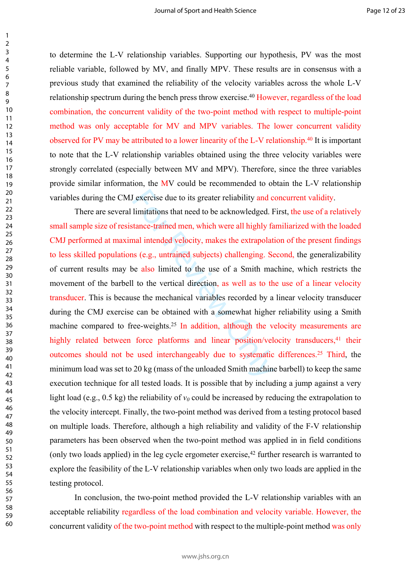to determine the L-V relationship variables. Supporting our hypothesis, PV was the most reliable variable, followed by MV, and finally MPV. These results are in consensus with a previous study that examined the reliability of the velocity variables across the whole L-V relationship spectrum during the bench press throw exercise.<sup>40</sup> However, regardless of the load combination, the concurrent validity of the two-point method with respect to multiple-point method was only acceptable for MV and MPV variables. The lower concurrent validity observed for PV may be attributed to a lower linearity of the L-V relationship.<sup>40</sup> It is important to note that the L-V relationship variables obtained using the three velocity variables were strongly correlated (especially between MV and MPV). Therefore, since the three variables provide similar information, the MV could be recommended to obtain the L-V relationship variables during the CMJ exercise due to its greater reliability and concurrent validity.

Functions that need to be acknowledged. I<br>
limitations that need to be acknowledged. I<br>
stance-trained men, which were all highly fa<br>
nal intended velocity, makes the extrapolat<br>
stand intended velocity, makes the extrapo There are several limitations that need to be acknowledged. First, the use of a relatively small sample size of resistance-trained men, which were all highly familiarized with the loaded CMJ performed at maximal intended velocity, makes the extrapolation of the present findings to less skilled populations (e.g., untrained subjects) challenging. Second, the generalizability of current results may be also limited to the use of a Smith machine, which restricts the movement of the barbell to the vertical direction, as well as to the use of a linear velocity transducer. This is because the mechanical variables recorded by a linear velocity transducer during the CMJ exercise can be obtained with a somewhat higher reliability using a Smith machine compared to free-weights.<sup>25</sup> In addition, although the velocity measurements are highly related between force platforms and linear position/velocity transducers,<sup>41</sup> their outcomes should not be used interchangeably due to systematic differences.<sup>25</sup> Third, the minimum load was set to 20 kg (mass of the unloaded Smith machine barbell) to keep the same execution technique for all tested loads. It is possible that by including a jump against a very light load (e.g., 0.5 kg) the reliability of  $v_0$  could be increased by reducing the extrapolation to the velocity intercept. Finally, the two-point method was derived from a testing protocol based on multiple loads. Therefore, although a high reliability and validity of the F-V relationship parameters has been observed when the two-point method was applied in in field conditions (only two loads applied) in the leg cycle ergometer exercise,<sup>42</sup> further research is warranted to explore the feasibility of the L-V relationship variables when only two loads are applied in the testing protocol.

In conclusion, the two-point method provided the L-V relationship variables with an acceptable reliability regardless of the load combination and velocity variable. However, the concurrent validity of the two-point method with respect to the multiple-point method was only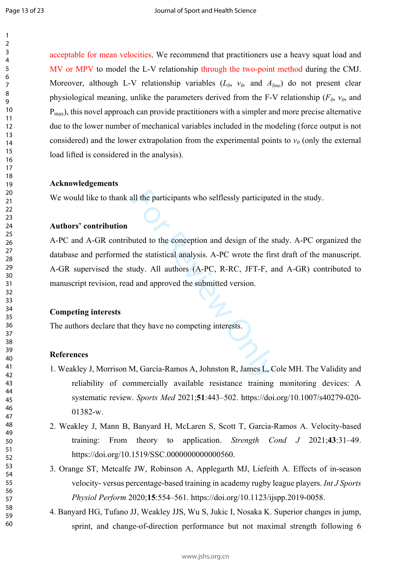acceptable for mean velocities. We recommend that practitioners use a heavy squat load and MV or MPV to model the L-V relationship through the two-point method during the CMJ. Moreover, although L-V relationship variables  $(L_0, v_0, \text{ and } A_{\text{line}})$  do not present clear physiological meaning, unlike the parameters derived from the F-V relationship ( $F_0$ ,  $v_0$ , and  $P_{\text{max}}$ ), this novel approach can provide practitioners with a simpler and more precise alternative due to the lower number of mechanical variables included in the modeling (force output is not considered) and the lower extrapolation from the experimental points to  $v_0$  (only the external load lifted is considered in the analysis).

#### **Acknowledgements**

We would like to thank all the participants who selflessly participated in the study.

#### **Authors' contribution**

Ill the participants who selflessly participate<br>
uted to the conception and design of the s<br>
the statistical analysis. A-PC wrote the fir-<br>
udy. All authors (A-PC, R-RC, JFT-F, a<br>
l and approved the submitted version.<br>
the A-PC and A-GR contributed to the conception and design of the study. A-PC organized the database and performed the statistical analysis. A-PC wrote the first draft of the manuscript. A-GR supervised the study. All authors (A-PC, R-RC, JFT-F, and A-GR) contributed to manuscript revision, read and approved the submitted version.

#### **Competing interests**

The authors declare that they have no competing interests.

#### **References**

- 1. Weakley J, Morrison M, García-Ramos A, Johnston R, James L, Cole MH. The Validity and reliability of commercially available resistance training monitoring devices: A systematic review. *Sports Med* 2021;**51**:443–502. https://doi.org/10.1007/s40279-020- 01382-w.
- 2. Weakley J, Mann B, Banyard H, McLaren S, Scott T, Garcia-Ramos A. Velocity-based training: From theory to application. *Strength Cond J* 2021;**43**:31–49. https://doi.org/10.1519/SSC.0000000000000560.
- 3. Orange ST, Metcalfe JW, Robinson A, Applegarth MJ, Liefeith A. Effects of in-season velocity- versus percentage-based training in academy rugby league players. *Int J Sports Physiol Perform* 2020;**15**:554–561. https://doi.org/10.1123/ijspp.2019-0058.
- 4. Banyard HG, Tufano JJ, Weakley JJS, Wu S, Jukic I, Nosaka K. Superior changes in jump, sprint, and change-of-direction performance but not maximal strength following 6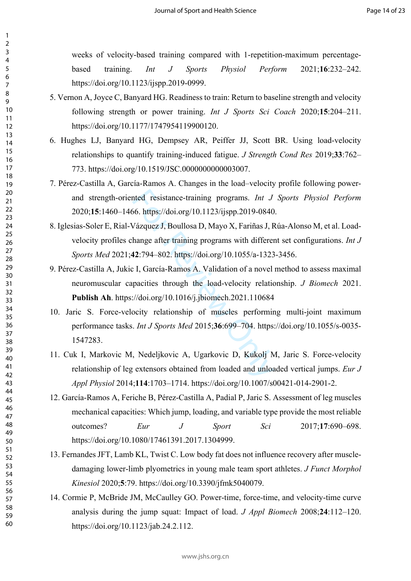weeks of velocity-based training compared with 1-repetition-maximum percentagebased training. *Int J Sports Physiol Perform* 2021;**16**:232–242. https://doi.org/10.1123/ijspp.2019-0999.

- 5. Vernon A, Joyce C, Banyard HG. Readiness to train: Return to baseline strength and velocity following strength or power training. *Int J Sports Sci Coach* 2020;**15**:204–211. https://doi.org/10.1177/1747954119900120.
- 6. Hughes LJ, Banyard HG, Dempsey AR, Peiffer JJ, Scott BR. Using load-velocity relationships to quantify training-induced fatigue. *J Strength Cond Res* 2019;**33**:762– 773. https://doi.org/10.1519/JSC.0000000000003007.
- 7. Pérez-Castilla A, García-Ramos A. Changes in the load–velocity profile following powerand strength-oriented resistance-training programs. *Int J Sports Physiol Perform* 2020;**15**:1460–1466. https://doi.org/10.1123/ijspp.2019-0840.
- nted resistance-training programs. *Int J*<br>66. https://doi.org/10.1123/ijspp.2019-0840<br>Vázquez J, Boullosa D, Mayo X, Fariñas J, F<br>hange after training programs with differe<br>**12**:794–802. https://doi.org/10.1055/a-1323<br>2 I 8. Iglesias-Soler E, Rial-Vázquez J, Boullosa D, Mayo X, Fariñas J, Rúa-Alonso M, et al. Loadvelocity profiles change after training programs with different set configurations. *Int J Sports Med* 2021;**42**:794–802. https://doi.org/10.1055/a-1323-3456.
- 9. Pérez-Castilla A, Jukic I, García-Ramos A. Validation of a novel method to assess maximal neuromuscular capacities through the load-velocity relationship. *J Biomech* 2021. **Publish Ah**. https://doi.org/10.1016/j.jbiomech.2021.110684
- 10. Jaric S. Force-velocity relationship of muscles performing multi-joint maximum performance tasks. *Int J Sports Med* 2015;**36**:699–704. https://doi.org/10.1055/s-0035- 1547283.
- 11. Cuk I, Markovic M, Nedeljkovic A, Ugarkovic D, Kukolj M, Jaric S. Force-velocity relationship of leg extensors obtained from loaded and unloaded vertical jumps. *Eur J Appl Physiol* 2014;**114**:1703–1714. https://doi.org/10.1007/s00421-014-2901-2.
- 12. García-Ramos A, Feriche B, Pérez-Castilla A, Padial P, Jaric S. Assessment of leg muscles mechanical capacities: Which jump, loading, and variable type provide the most reliable outcomes? *Eur J Sport Sci* 2017;**17**:690–698. https://doi.org/10.1080/17461391.2017.1304999.
- 13. Fernandes JFT, Lamb KL, Twist C. Low body fat does not influence recovery after muscledamaging lower-limb plyometrics in young male team sport athletes. *J Funct Morphol Kinesiol* 2020;**5**:79. https://doi.org/10.3390/jfmk5040079.
- 14. Cormie P, McBride JM, McCaulley GO. Power-time, force-time, and velocity-time curve analysis during the jump squat: Impact of load. *J Appl Biomech* 2008;**24**:112–120. https://doi.org/10.1123/jab.24.2.112.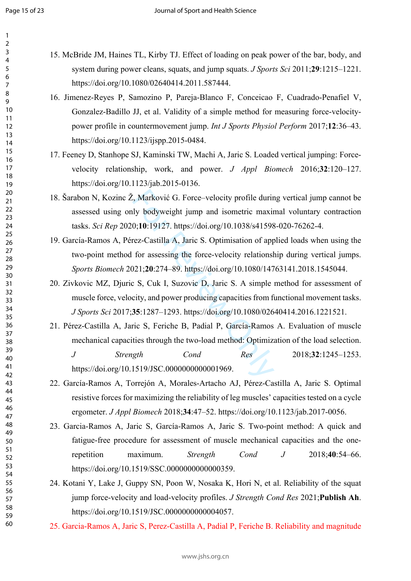$\mathbf{1}$ 

| 1                            |
|------------------------------|
| 2                            |
| 3                            |
| 4                            |
| 5                            |
|                              |
| 6                            |
|                              |
| 8                            |
| $\mathbf$<br>€               |
| 10                           |
| $\mathbf{1}$<br>1            |
| 1<br>2                       |
| 13                           |
|                              |
| 1<br>4                       |
| 15                           |
| 16                           |
| 1                            |
| 18                           |
| 19                           |
| 20                           |
| $\overline{21}$              |
|                              |
| $\overline{2}$<br>,          |
| $\overline{2}$<br>z          |
| $\frac{24}{3}$               |
| 25                           |
| $\frac{26}{5}$               |
| $^{27}$                      |
| $\frac{28}{5}$               |
|                              |
| 29                           |
| 30                           |
| $\overline{\textbf{3}}$      |
| $\overline{\mathbf{3}}$<br>, |
| $\overline{\mathbf{3}}$<br>ξ |
| ş.<br>4                      |
| 35                           |
|                              |
| 36                           |
| 37                           |
| şξ<br>l                      |
| 39                           |
| 40                           |
| 41                           |
| 42                           |
| ξ<br>4.                      |
| 44                           |
|                              |
| 45                           |
| 46                           |
| 47                           |
| 48                           |
| 49                           |
| 50                           |
| 51                           |
|                              |
| 5.<br>2                      |
| 5.<br>ξ                      |
| 54                           |
| 55                           |
| 56                           |
| 57                           |
| 58                           |
| 59                           |
|                              |

60

- 15. McBride JM, Haines TL, Kirby TJ. Effect of loading on peak power of the bar, body, and system during power cleans, squats, and jump squats. *J Sports Sci* 2011;**29**:1215–1221. https://doi.org/10.1080/02640414.2011.587444.
- 16. Jimenez-Reyes P, Samozino P, Pareja-Blanco F, Conceicao F, Cuadrado-Penafiel V, Gonzalez-Badillo JJ, et al. Validity of a simple method for measuring force-velocitypower profile in countermovement jump. *Int J Sports Physiol Perform* 2017;**12**:36–43. https://doi.org/10.1123/ijspp.2015-0484.
- 17. Feeney D, Stanhope SJ, Kaminski TW, Machi A, Jaric S. Loaded vertical jumping: Forcevelocity relationship, work, and power. *J Appl Biomech* 2016;**32**:120–127. https://doi.org/10.1123/jab.2015-0136.
- 18. Šarabon N, Kozinc Ž, Marković G. Force–velocity profile during vertical jump cannot be assessed using only bodyweight jump and isometric maximal voluntary contraction tasks. *Sci Rep* 2020;**10**:19127. https://doi.org/10.1038/s41598-020-76262-4.
- *l*, Marković G. Force-velocity profile durincy.<br>
19 bodyweight jump and isometric maxim 0;10:19127. https://doi.org/10.1038/s41598<br>
rez-Castilla A, Jaric S. Optimisation of app<br>
for assessing the force-velocity relations<br> 19. García-Ramos A, Pérez-Castilla A, Jaric S. Optimisation of applied loads when using the two-point method for assessing the force-velocity relationship during vertical jumps. *Sports Biomech* 2021;**20**:274–89. https://doi.org/10.1080/14763141.2018.1545044.
- 20. Zivkovic MZ, Djuric S, Cuk I, Suzovic D, Jaric S. A simple method for assessment of muscle force, velocity, and power producing capacities from functional movement tasks. *J Sports Sci* 2017;**35**:1287–1293. https://doi.org/10.1080/02640414.2016.1221521.
- 21. Pérez-Castilla A, Jaric S, Feriche B, Padial P, García-Ramos A. Evaluation of muscle mechanical capacities through the two-load method: Optimization of the load selection.

*J Strength Cond Res* 2018;**32**:1245–1253. https://doi.org/10.1519/JSC.0000000000001969.

- 22. García-Ramos A, Torrejón A, Morales-Artacho AJ, Pérez-Castilla A, Jaric S. Optimal resistive forces for maximizing the reliability of leg muscles' capacities tested on a cycle ergometer. *J Appl Biomech* 2018;**34**:47–52. https://doi.org/10.1123/jab.2017-0056.
- 23. Garcia-Ramos A, Jaric S, García-Ramos A, Jaric S. Two-point method: A quick and fatigue-free procedure for assessment of muscle mechanical capacities and the onerepetition maximum. *Strength Cond J* 2018;**40**:54–66. https://doi.org/10.1519/SSC.0000000000000359.
- 24. Kotani Y, Lake J, Guppy SN, Poon W, Nosaka K, Hori N, et al. Reliability of the squat jump force-velocity and load-velocity profiles. *J Strength Cond Res* 2021;**Publish Ah**. https://doi.org/10.1519/JSC.0000000000004057.
- 25. Garcia-Ramos A, Jaric S, Perez-Castilla A, Padial P, Feriche B. Reliability and magnitude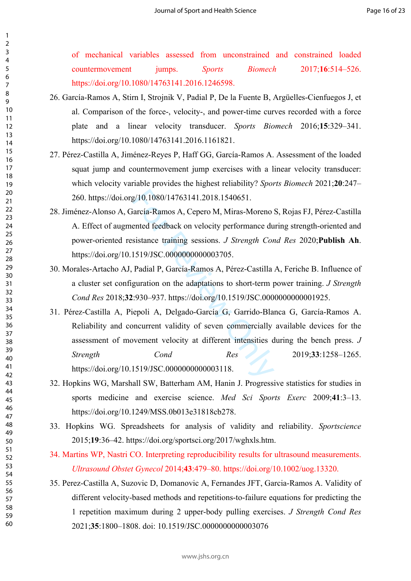of mechanical variables assessed from unconstrained and constrained loaded countermovement jumps. *Sports Biomech* 2017;**16**:514–526. https://doi.org/10.1080/14763141.2016.1246598.

- 26. García-Ramos A, Stirn I, Strojnik V, Padial P, De la Fuente B, Argüelles-Cienfuegos J, et al. Comparison of the force-, velocity-, and power-time curves recorded with a force plate and a linear velocity transducer. *Sports Biomech* 2016;**15**:329–341. https://doi.org/10.1080/14763141.2016.1161821.
- 27. Pérez-Castilla A, Jiménez-Reyes P, Haff GG, García-Ramos A. Assessment of the loaded squat jump and countermovement jump exercises with a linear velocity transducer: which velocity variable provides the highest reliability? *Sports Biomech* 2021;**20**:247– 260. https://doi.org/10.1080/14763141.2018.1540651.
- 28. Jiménez-Alonso A, García-Ramos A, Cepero M, Miras-Moreno S, Rojas FJ, Pérez-Castilla A. Effect of augmented feedback on velocity performance during strength-oriented and power-oriented resistance training sessions. *J Strength Cond Res* 2020;**Publish Ah**. https://doi.org/10.1519/JSC.0000000000003705.
- 30. Morales-Artacho AJ, Padial P, García-Ramos A, Pérez-Castilla A, Feriche B. Influence of a cluster set configuration on the adaptations to short-term power training. *J Strength Cond Res* 2018;**32**:930–937. https://doi.org/10.1519/JSC.0000000000001925.
- g/10.1080/14763141.2018.1540651.<br>
Farcía-Ramos A, Cepero M, Miras-Moreno<br>
ented feedback on velocity performance du<br>
sistance training sessions. *J Strength Cor*<br>
1519/JSC.0000000000003705.<br>
Padial P, García-Ramos A, Pérez 31. Pérez-Castilla A, Piepoli A, Delgado-García G, Garrido-Blanca G, García-Ramos A. Reliability and concurrent validity of seven commercially available devices for the assessment of movement velocity at different intensities during the bench press. *J Strength Cond Res* 2019;**33**:1258–1265. https://doi.org/10.1519/JSC.00000000000003118.
- 32. Hopkins WG, Marshall SW, Batterham AM, Hanin J. Progressive statistics for studies in sports medicine and exercise science. *Med Sci Sports Exerc* 2009;**41**:3–13. https://doi.org/10.1249/MSS.0b013e31818cb278.
- 33. Hopkins WG. Spreadsheets for analysis of validity and reliability. *Sportscience* 2015;**19**:36–42. https://doi.org/sportsci.org/2017/wghxls.htm.
- 34. Martins WP, Nastri CO. Interpreting reproducibility results for ultrasound measurements. *Ultrasound Obstet Gynecol* 2014;**43**:479–80. https://doi.org/10.1002/uog.13320.
- 35. Perez-Castilla A, Suzovic D, Domanovic A, Fernandes JFT, Garcia-Ramos A. Validity of different velocity-based methods and repetitions-to-failure equations for predicting the 1 repetition maximum during 2 upper-body pulling exercises. *J Strength Cond Res* 2021;**35**:1800–1808. doi: 10.1519/JSC.0000000000003076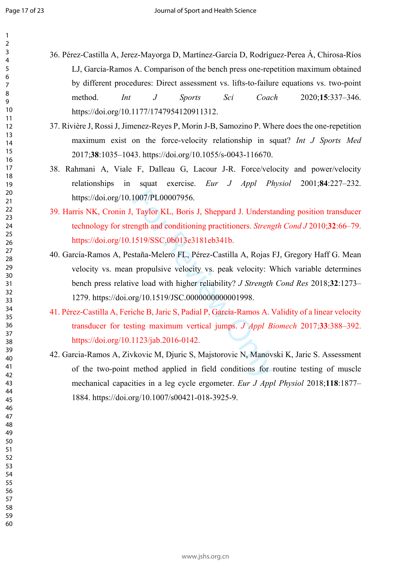$\mathbf{1}$ 

- 36. Pérez-Castilla A, Jerez-Mayorga D, Martínez-García D, Rodríguez-Perea Á, Chirosa-Ríos LJ, García-Ramos A. Comparison of the bench press one-repetition maximum obtained by different procedures: Direct assessment vs. lifts-to-failure equations vs. two-point method. *Int J Sports Sci Coach* 2020;**15**:337–346. https://doi.org/10.1177/1747954120911312.
	- 37. Rivière J, Rossi J, Jimenez-Reyes P, Morin J-B, Samozino P. Where does the one-repetition maximum exist on the force-velocity relationship in squat? *Int J Sports Med* 2017;**38**:1035–1043. https://doi.org/10.1055/s-0043-116670.
	- 38. Rahmani A, Viale F, Dalleau G, Lacour J-R. Force/velocity and power/velocity relationships in squat exercise. *Eur J Appl Physiol* 2001;**84**:227–232. https://doi.org/10.1007/PL00007956.
	- 39. Harris NK, Cronin J, Taylor KL, Boris J, Sheppard J. Understanding position transducer technology for strength and conditioning practitioners. *Strength Cond J* 2010;**32**:66–79. https://doi.org/10.1519/SSC.0b013e3181eb341b.
	- 1007/PL00007956.<br>
	Taylor KL, Boris J, Sheppard J. Understangth and conditioning practitioners. *Streng*<br>
	1519/SSC.0b013e3181eb341b.<br>
	staña-Melero FL, Pérez-Castilla A, Rojas I<br>
	propulsive velocity vs. peak velocity: W<br>
	we 40. García-Ramos A, Pestaña-Melero FL, Pérez-Castilla A, Rojas FJ, Gregory Haff G. Mean velocity vs. mean propulsive velocity vs. peak velocity: Which variable determines bench press relative load with higher reliability? *J Strength Cond Res* 2018;**32**:1273– 1279. https://doi.org/10.1519/JSC.0000000000001998.
	- 41. Pérez-Castilla A, Feriche B, Jaric S, Padial P, García-Ramos A. Validity of a linear velocity transducer for testing maximum vertical jumps. *J Appl Biomech* 2017;**33**:388–392. https://doi.org/10.1123/jab.2016-0142.
	- 42. Garcia-Ramos A, Zivkovic M, Djuric S, Majstorovic N, Manovski K, Jaric S. Assessment of the two-point method applied in field conditions for routine testing of muscle mechanical capacities in a leg cycle ergometer. *Eur J Appl Physiol* 2018;**118**:1877– 1884. https://doi.org/10.1007/s00421-018-3925-9.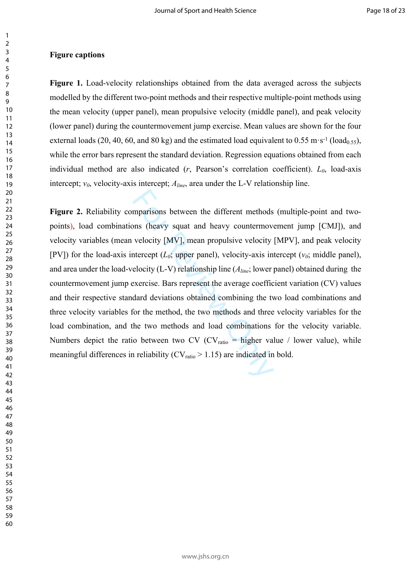#### **Figure captions**

**Figure 1.** Load-velocity relationships obtained from the data averaged across the subjects modelled by the different two-point methods and their respective multiple-point methods using the mean velocity (upper panel), mean propulsive velocity (middle panel), and peak velocity (lower panel) during the countermovement jump exercise. Mean values are shown for the four external loads (20, 40, 60, and 80 kg) and the estimated load equivalent to 0.55 m·s<sup>-1</sup> (load<sub>0.55</sub>), while the error bars represent the standard deviation. Regression equations obtained from each individual method are also indicated (*r*, Pearson's correlation coefficient). *L0*, load-axis intercept;  $v_0$ , velocity-axis intercept;  $A_{line}$ , area under the L-V relationship line.

mparisons between the different methods<br>ons (heavy squat and heavy countermove<br>velocity [MV], mean propulsive velocity<br>therecept ( $L_0$ ; upper panel), velocity-axis in<br>elocity (L-V) relationship line ( $A_{line}$ ; lower p<br>exer **Figure 2.** Reliability comparisons between the different methods (multiple-point and twopoints), load combinations (heavy squat and heavy countermovement jump [CMJ]), and velocity variables (mean velocity [MV], mean propulsive velocity [MPV], and peak velocity [PV]) for the load-axis intercept  $(L_0;$  upper panel), velocity-axis intercept  $(v_0;$  middle panel), and area under the load-velocity (L-V) relationship line (*Aline*; lower panel) obtained during the countermovement jump exercise. Bars represent the average coefficient variation (CV) values and their respective standard deviations obtained combining the two load combinations and three velocity variables for the method, the two methods and three velocity variables for the load combination, and the two methods and load combinations for the velocity variable. Numbers depict the ratio between two CV (CV<sub>ratio</sub> = higher value / lower value), while meaningful differences in reliability ( $CV<sub>ratio</sub> > 1.15$ ) are indicated in bold.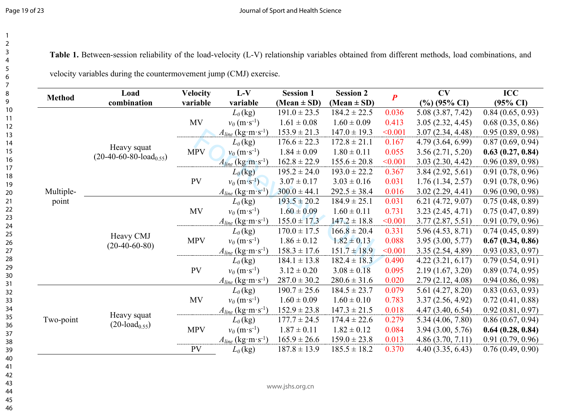**Table 1.** Between-session reliability of the load-velocity (L-V) relationship variables obtained from different methods, load combinations, and

|  | velocity variables during the countermovement jump (CMJ) exercise. |  |  |
|--|--------------------------------------------------------------------|--|--|
|--|--------------------------------------------------------------------|--|--|

| <b>Method</b> | Load                          | <b>Velocity</b> | $L-V$                              | <b>Session 1</b> | <b>Session 2</b> | $\boldsymbol{P}$ | CV                      | <b>ICC</b>          |
|---------------|-------------------------------|-----------------|------------------------------------|------------------|------------------|------------------|-------------------------|---------------------|
|               | combination                   | variable        | variable                           | (Mean $\pm$ SD)  | (Mean $\pm$ SD)  |                  | $(\%)(95\% \text{ CI})$ | $(95\% \text{ CI})$ |
|               |                               |                 | $L_0$ (kg)                         | $191.0 \pm 23.5$ | $184.2 \pm 22.5$ | 0.036            | 5.08 (3.87, 7.42)       | 0.84(0.65, 0.93)    |
|               |                               | <b>MV</b>       | $v_0$ (m·s <sup>-1</sup> )         | $1.61 \pm 0.08$  | $1.60 \pm 0.09$  | 0.413            | 3.05(2.32, 4.45)        | 0.68(0.35, 0.86)    |
|               |                               |                 | $A_{line}$ (kg·m·s <sup>-1</sup> ) | $153.9 \pm 21.3$ | $147.0 \pm 19.3$ | < 0.001          | 3.07(2.34, 4.48)        | 0.95(0.89, 0.98)    |
|               | Heavy squat                   |                 | $L_0$ (kg)                         | $176.6 \pm 22.3$ | $172.8 \pm 21.1$ | 0.167            | 4.79(3.64, 6.99)        | 0.87(0.69, 0.94)    |
|               | $(20-40-60-80-load_{0.55})$   | <b>MPV</b>      | $v_0$ (m·s <sup>-1</sup> )         | $1.84 \pm 0.09$  | $1.80 \pm 0.11$  | 0.055            | 3.56(2.71, 5.20)        | 0.63(0.27, 0.84)    |
|               |                               |                 | $A_{line}$ (kg·m·s <sup>-1</sup> ) | $162.8 \pm 22.9$ | $155.6 \pm 20.8$ | < 0.001          | 3.03(2.30, 4.42)        | 0.96(0.89, 0.98)    |
|               |                               |                 | $L_0$ (kg)                         | $195.2 \pm 24.0$ | $193.0 \pm 22.2$ | 0.367            | 3.84(2.92, 5.61)        | 0.91(0.78, 0.96)    |
|               |                               | PV              | $v_0$ (m·s <sup>-1</sup> )         | $3.07 \pm 0.17$  | $3.03 \pm 0.16$  | 0.031            | 1.76(1.34, 2.57)        | 0.91(0.78, 0.96)    |
| Multiple-     |                               |                 | $A_{line}$ (kg·m·s <sup>-1</sup> ) | $300.0 \pm 44.1$ | $292.5 \pm 38.4$ | 0.016            | 3.02(2.29, 4.41)        | 0.96(0.90, 0.98)    |
| point         | Heavy CMJ<br>$(20-40-60-80)$  | <b>MV</b>       | $L_0$ (kg)                         | $193.5 \pm 20.2$ | $184.9 \pm 25.1$ | 0.031            | 6.21(4.72, 9.07)        | 0.75(0.48, 0.89)    |
|               |                               |                 | $v_0$ (m·s <sup>-1</sup> )         | $1.60 \pm 0.09$  | $1.60 \pm 0.11$  | 0.731            | 3.23(2.45, 4.71)        | 0.75(0.47, 0.89)    |
|               |                               |                 | $A_{line}$ (kg·m·s <sup>-1</sup> ) | $155.0 \pm 17.3$ | $147.2 \pm 18.8$ | < 0.001          | 3.77(2.87, 5.51)        | 0.91(0.79, 0.96)    |
|               |                               | <b>MPV</b>      | $L_0$ (kg)                         | $170.0 \pm 17.5$ | $166.8 \pm 20.4$ | 0.331            | 5.96 (4.53, 8.71)       | 0.74(0.45, 0.89)    |
|               |                               |                 | $v_0$ (m·s <sup>-1</sup> )         | $1.86 \pm 0.12$  | $1.82 \pm 0.13$  | 0.088            | 3.95(3.00, 5.77)        | 0.67(0.34, 0.86)    |
|               |                               |                 | $A_{line}$ (kg·m·s <sup>-1</sup> ) | $158.3 \pm 17.6$ | $151.7 \pm 18.9$ | < 0.001          | 3.35(2.54, 4.89)        | 0.93(0.83, 0.97)    |
|               |                               | PV              | $L_0$ (kg)                         | $184.1 \pm 13.8$ | $182.4 \pm 18.3$ | 0.490            | 4.22(3.21, 6.17)        | 0.79(0.54, 0.91)    |
|               |                               |                 | $v_0$ (m·s <sup>-1</sup> )         | $3.12 \pm 0.20$  | $3.08 \pm 0.18$  | 0.095            | 2.19(1.67, 3.20)        | 0.89(0.74, 0.95)    |
|               |                               |                 | $A_{line}$ (kg·m·s <sup>-1</sup> ) | $287.0 \pm 30.2$ | $280.6 \pm 31.6$ | 0.020            | 2.79(2.12, 4.08)        | 0.94(0.86, 0.98)    |
|               |                               |                 | $L_0$ (kg)                         | $190.7 \pm 25.6$ | $184.5 \pm 23.7$ | 0.079            | 5.61(4.27, 8.20)        | 0.83(0.63, 0.93)    |
|               |                               | MV              | $v_0$ (m·s <sup>-1</sup> )         | $1.60 \pm 0.09$  | $1.60 \pm 0.10$  | 0.783            | 3.37(2.56, 4.92)        | 0.72(0.41, 0.88)    |
|               |                               |                 | $A_{line}$ (kg·m·s <sup>-1</sup> ) | $152.9 \pm 23.8$ | $147.3 \pm 21.5$ | 0.018            | 4.47(3.40, 6.54)        | 0.92(0.81, 0.97)    |
| Two-point     | Heavy squat                   |                 | $L_0$ (kg)                         | $177.7 \pm 24.5$ | $174.4 \pm 22.6$ | 0.279            | 5.34(4.06, 7.80)        | 0.86(0.67, 0.94)    |
|               | $(20$ -load <sub>0.55</sub> ) | <b>MPV</b>      | $v_0$ (m·s <sup>-1</sup> )         | $1.87 \pm 0.11$  | $1.82 \pm 0.12$  | 0.084            | 3.94(3.00, 5.76)        | 0.64(0.28, 0.84)    |
|               |                               |                 | $A_{line}$ (kg·m·s <sup>-1</sup> ) | $165.9 \pm 26.6$ | $159.0 \pm 23.8$ | 0.013            | 4.86(3.70, 7.11)        | 0.91(0.79, 0.96)    |
|               |                               | <b>PV</b>       | $L_0$ (kg)                         | $187.8 \pm 13.9$ | $185.5 \pm 18.2$ | 0.370            | 4.40(3.35, 6.43)        | 0.76(0.49, 0.90)    |
|               |                               |                 |                                    |                  |                  |                  |                         |                     |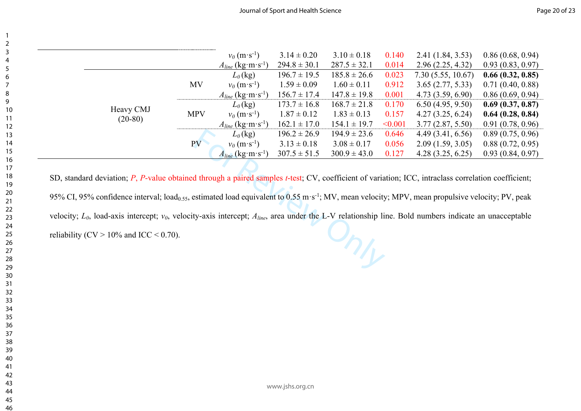|           |            | $v_0$ (m·s <sup>-1</sup> )         | $3.14 \pm 0.20$  | $3.10 \pm 0.18$  | 0.140   | 2.41(1.84, 3.53)  | 0.86(0.68, 0.94) |
|-----------|------------|------------------------------------|------------------|------------------|---------|-------------------|------------------|
|           |            | $A_{line}$ (kg·m·s <sup>-1</sup> ) | $294.8 \pm 30.1$ | $287.5 \pm 32.1$ | 0.014   | 2.96(2.25, 4.32)  | 0.93(0.83, 0.97) |
|           |            | $L_0$ (kg)                         | $196.7 \pm 19.5$ | $185.8 \pm 26.6$ | 0.023   | 7.30(5.55, 10.67) | 0.66(0.32, 0.85) |
|           | MV         | $v_0$ (m·s <sup>-1</sup> )         | $1.59 \pm 0.09$  | $1.60 \pm 0.11$  | 0.912   | 3.65(2.77, 5.33)  | 0.71(0.40, 0.88) |
|           |            | $A_{line}$ (kg·m·s <sup>-1</sup> ) | $156.7 \pm 17.4$ | $147.8 \pm 19.8$ | 0.001   | 4.73(3.59, 6.90)  | 0.86(0.69, 0.94) |
|           |            | $L_0$ (kg)                         | $173.7 \pm 16.8$ | $168.7 \pm 21.8$ | 0.170   | 6.50(4.95, 9.50)  | 0.69(0.37, 0.87) |
| Heavy CMJ | <b>MPV</b> | $v_0$ (m·s <sup>-1</sup> )         | $1.87 \pm 0.12$  | $1.83 \pm 0.13$  | 0.157   | 4.27(3.25, 6.24)  | 0.64(0.28, 0.84) |
| $(20-80)$ |            | $A_{line}$ (kg·m·s <sup>-1</sup> ) | $162.1 \pm 17.0$ | $154.1 \pm 19.7$ | < 0.001 | 3.77(2.87, 5.50)  | 0.91(0.78, 0.96) |
|           |            | $L_0$ (kg)                         | $196.2 \pm 26.9$ | $194.9 \pm 23.6$ | 0.646   | 4.49(3.41, 6.56)  | 0.89(0.75, 0.96) |
|           | PV         | $v_0$ (m·s <sup>-1</sup> )         | $3.13 \pm 0.18$  | $3.08 \pm 0.17$  | 0.056   | 2.09(1.59, 3.05)  | 0.88(0.72, 0.95) |
|           |            | $A_{line}$ (kg·m·s <sup>-1</sup> ) | $307.5 \pm 51.5$ | $300.9 \pm 43.0$ | 0.127   | 4.28(3.25, 6.25)  | 0.93(0.84, 0.97) |

 $L_0$ (kg)  $196.2 \pm 26.9$   $194.9 \pm 23.6$ <br>  $v_0$  (m·s<sup>-1</sup>)  $3.13 \pm 0.18$   $3.08 \pm 0.17$ <br>  $A_{line}$  (kg·m·s<sup>-1</sup>)  $307.5 \pm 51.5$   $300.9 \pm 43.0$ <br>
d through a paired samples *t*-test; CV, coefficient of varia<br>
estimated load equiva SD, standard deviation; *P*, *P*-value obtained through a paired samples *t*-test; CV, coefficient of variation; ICC, intraclass correlation coefficient; 95% CI, 95% confidence interval; load<sub>0.55</sub>, estimated load equivalent to 0.55 m·s<sup>-1</sup>; MV, mean velocity; MPV, mean propulsive velocity; PV, peak velocity; *L0*, load-axis intercept; *v0*, velocity-axis intercept; *Aline*, area under the L-V relationship line. Bold numbers indicate an unacceptable reliability (CV  $> 10\%$  and ICC  $< 0.70$ ).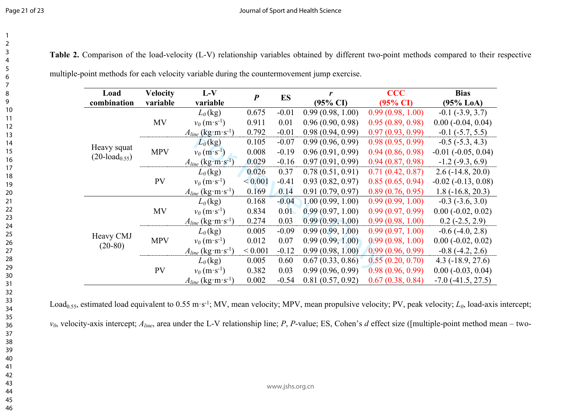| Table 2. Comparison of the load-velocity (L-V) relationship variables obtained by different two-point methods compared to their respective |  |  |  |  |  |  |  |  |  |  |
|--------------------------------------------------------------------------------------------------------------------------------------------|--|--|--|--|--|--|--|--|--|--|
|--------------------------------------------------------------------------------------------------------------------------------------------|--|--|--|--|--|--|--|--|--|--|

| Load<br>combination                          | <b>Velocity</b><br>variable | $L-V$<br>variable                  | $\boldsymbol{P}$ | ES      | r<br>$(95\% \text{ CI})$ | <b>CCC</b><br>$(95\% \text{ CI})$ | <b>Bias</b><br>$(95\%$ LoA) |
|----------------------------------------------|-----------------------------|------------------------------------|------------------|---------|--------------------------|-----------------------------------|-----------------------------|
|                                              |                             | $L_0$ (kg)                         | 0.675            | $-0.01$ | 0.99(0.98, 1.00)         | 0.99(0.98, 1.00)                  | $-0.1$ $(-3.9, 3.7)$        |
|                                              |                             |                                    |                  |         |                          |                                   |                             |
|                                              | MV                          | $v_0$ (m·s <sup>-1</sup> )         | 0.911            | 0.01    | 0.96(0.90, 0.98)         | 0.95(0.89, 0.98)                  | $0.00$ ( $-0.04$ , $0.04$ ) |
|                                              |                             | $A_{line}$ (kg·m·s <sup>-1</sup> ) | 0.792            | $-0.01$ | 0.98(0.94, 0.99)         | 0.97(0.93, 0.99)                  | $-0.1$ $(-5.7, 5.5)$        |
|                                              |                             | $L_0$ (kg)                         | 0.105            | $-0.07$ | 0.99(0.96, 0.99)         | 0.98(0.95, 0.99)                  | $-0.5$ $(-5.3, 4.3)$        |
| Heavy squat<br>$(20$ -load <sub>0.55</sub> ) | <b>MPV</b>                  | $v_0$ (m·s <sup>-1</sup> )         | 0.008            | $-0.19$ | 0.96(0.91, 0.99)         | 0.94(0.86, 0.98)                  | $-0.01$ $(-0.05, 0.04)$     |
|                                              |                             | $A_{line}$ (kg·m·s <sup>-1</sup> ) | 0.029            | $-0.16$ | 0.97(0.91, 0.99)         | 0.94(0.87, 0.98)                  | $-1.2$ ( $-9.3, 6.9$ )      |
|                                              | <b>PV</b>                   | $L_0$ (kg)                         | 0.026            | 0.37    | 0.78(0.51, 0.91)         | 0.71(0.42, 0.87)                  | $2.6(-14.8, 20.0)$          |
|                                              |                             | $v_0$ (m·s <sup>-1</sup> )         | ${}_{0.001}$     | $-0.41$ | 0.93(0.82, 0.97)         | 0.85(0.65, 0.94)                  | $-0.02$ $(-0.13, 0.08)$     |
|                                              |                             | $A_{line}$ (kg·m·s <sup>-1</sup> ) | 0.169            | 0.14    | 0.91(0.79, 0.97)         | 0.89(0.76, 0.95)                  | $1.8(-16.8, 20.3)$          |
|                                              | MV                          | $L_0$ (kg)                         | 0.168            | $-0.04$ | 1.00(0.99, 1.00)         | 0.99(0.99, 1.00)                  | $-0.3$ $(-3.6, 3.0)$        |
|                                              |                             | $v_0$ (m·s <sup>-1</sup> )         | 0.834            | 0.01    | 0.99(0.97, 1.00)         | 0.99(0.97, 0.99)                  | $0.00 (-0.02, 0.02)$        |
|                                              |                             | $A_{line}$ (kg·m·s <sup>-1</sup> ) | 0.274            | 0.03    | 0.99(0.99, 1.00)         | 0.99(0.98, 1.00)                  | $0.2$ ( $-2.5$ , $2.9$ )    |
|                                              |                             | $L_0$ (kg)                         | 0.005            | $-0.09$ | 0.99(0.99, 1.00)         | 0.99(0.97, 1.00)                  | $-0.6$ $(-4.0, 2.8)$        |
| Heavy CMJ                                    | <b>MPV</b>                  | $v_0$ (m·s <sup>-1</sup> )         | 0.012            | 0.07    | 0.99(0.99, 1.00)         | 0.99(0.98, 1.00)                  | $0.00 (-0.02, 0.02)$        |
| $(20-80)$                                    |                             | $A_{line}$ (kg·m·s <sup>-1</sup> ) | ${}< 0.001$      | $-0.12$ | 0.99(0.98, 1.00)         | 0.99(0.96, 0.99)                  | $-0.8$ $(-4.2, 2.6)$        |
|                                              |                             | $L_0$ (kg)                         | 0.005            | 0.60    | 0.67(0.33, 0.86)         | 0.55(0.20, 0.70)                  | $4.3$ ( $-18.9$ , 27.6)     |
|                                              | <b>PV</b>                   | $v_0$ (m·s <sup>-1</sup> )         | 0.382            | 0.03    | 0.99(0.96, 0.99)         | 0.98(0.96, 0.99)                  | $0.00 (-0.03, 0.04)$        |
|                                              |                             | $A_{line}$ (kg·m·s <sup>-1</sup> ) | 0.002            | $-0.54$ | 0.81(0.57, 0.92)         | 0.67(0.38, 0.84)                  | $-7.0$ $(-41.5, 27.5)$      |

| multiple-point methods for each velocity variable during the countermovement jump exercise. |  |  |  |  |
|---------------------------------------------------------------------------------------------|--|--|--|--|
|                                                                                             |  |  |  |  |

Load<sub>0.55</sub>, estimated load equivalent to 0.55 m·s<sup>-1</sup>; MV, mean velocity; MPV, mean propulsive velocity; PV, peak velocity;  $L_0$ , load-axis intercept;

*v0*, velocity-axis intercept; *Aline*, area under the L-V relationship line; *P*, *P*-value; ES, Cohen's *d* effect size ([multiple-point method mean – two-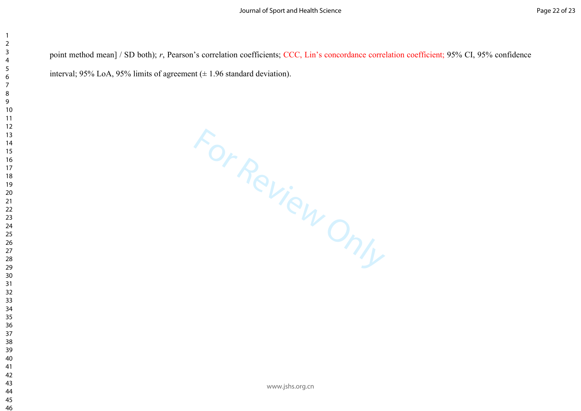point method mean] / SD both); *r*, Pearson's correlation coefficients; CCC, Lin's concordance correlation coefficient; 95% CI, 95% confidence interval; 95% LoA, 95% limits of agreement  $(\pm 1.96$  standard deviation).

For Review Only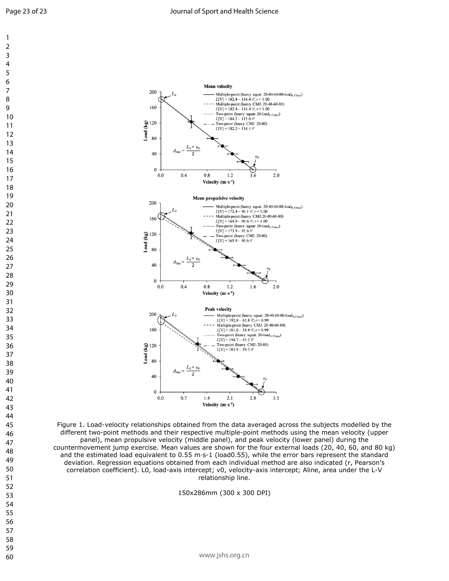**Mean velocity** 

Multiple-point (heavy squat: 20-40-60-80-load<sub>0.55m/s</sub>)<br> $L[V] = 182.4 - 114.4 \cdot V$ ;  $r = 1.00$ 

Multiple-point (heavy CMJ: 20-40-60-80)<br>  $L[V] = 182.4 - 114.4 \cdot V$ ;  $r = 1.00$ 



 $\mathbf{1}$ 

 $\overline{7}$ 

 

 

 

 

 



Figure 1. Load-velocity relationships obtained from the data averaged across the subjects modelled by the different two-point methods and their respective multiple-point methods using the mean velocity (upper panel), mean propulsive velocity (middle panel), and peak velocity (lower panel) during the countermovement jump exercise. Mean values are shown for the four external loads (20, 40, 60, and 80 kg) and the estimated load equivalent to 0.55 m·s-1 (load0.55), while the error bars represent the standard deviation. Regression equations obtained from each individual method are also indicated (r, Pearson's correlation coefficient). L0, load-axis intercept; v0, velocity-axis intercept; Aline, area under the L-V relationship line.

150x286mm (300 x 300 DPI)